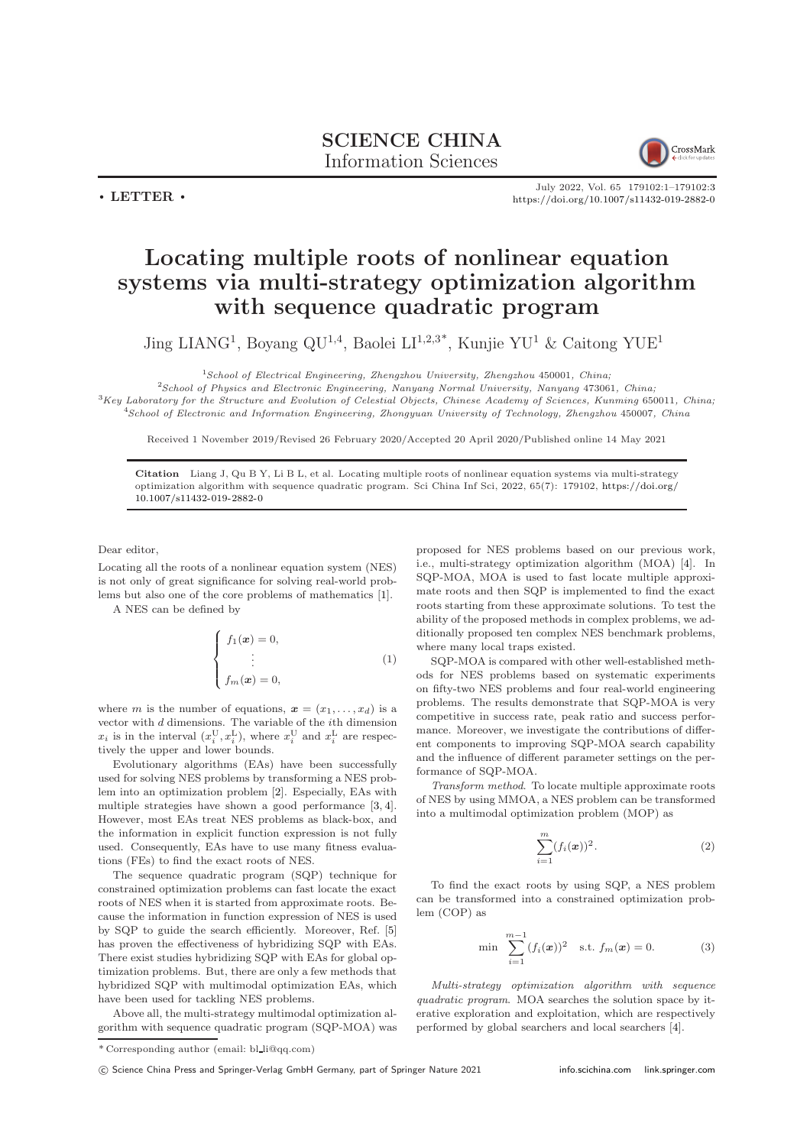## SCIENCE CHINA Information Sciences



July 2022, Vol. 65 179102:1–179102[:3](#page-2-0) <https://doi.org/10.1007/s11432-019-2882-0>

 $\cdot$  LETTER  $\cdot$ 

## Locating multiple roots of nonlinear equation systems via multi-strategy optimization algorithm with sequence quadratic program

Jing LIANG<sup>1</sup>, Boyang QU<sup>1,4</sup>, Baolei LI<sup>1,2,3\*</sup>, Kunjie YU<sup>1</sup> & Caitong YUE<sup>1</sup>

 $1$ School of Electrical Engineering, Zhengzhou University, Zhengzhou 450001, China;

<sup>2</sup>School of Physics and Electronic Engineering, Nanyang Normal University, Nanyang 473061, China;  ${}^{3}$ Key Laboratory for the Structure and Evolution of Celestial Objects, Chinese Academy of Sciences, Kunming 650011, China; <sup>4</sup>School of Electronic and Information Engineering, Zhongyuan University of Technology, Zhengzhou 450007, China

Received 1 November 2019/Revised 26 February 2020/Accepted 20 April 2020/Published online 14 May 2021

Citation Liang J, Qu B Y, Li B L, et al. Locating multiple roots of nonlinear equation systems via multi-strategy optimization algorithm with sequence quadratic program. Sci China Inf Sci, 2022, 65(7): 179102, [https://doi.org/](https://doi.org/10.1007/s11432-019-2882-0) [10.1007/s11432-019-2882-0](https://doi.org/10.1007/s11432-019-2882-0)

Dear editor,

Locating all the roots of a nonlinear equation system (NES) is not only of great significance for solving real-world problems but also one of the core problems of mathematics [\[1\]](#page-2-1).

A NES can be defined by

$$
\begin{cases}\nf_1(\boldsymbol{x}) = 0, \\
\vdots \\
f_m(\boldsymbol{x}) = 0,\n\end{cases}
$$
\n(1)

where m is the number of equations,  $\boldsymbol{x} = (x_1, \ldots, x_d)$  is a vector with  $d$  dimensions. The variable of the  $i$ th dimension  $x_i$  is in the interval  $(x_i^{\text{U}}, x_i^{\text{L}})$ , where  $x_i^{\text{U}}$  and  $x_i^{\text{L}}$  are respectively the upper and lower bounds.

Evolutionary algorithms (EAs) have been successfully used for solving NES problems by transforming a NES problem into an optimization problem [\[2\]](#page-2-2). Especially, EAs with multiple strategies have shown a good performance [\[3,](#page-2-3) [4\]](#page-2-4). However, most EAs treat NES problems as black-box, and the information in explicit function expression is not fully used. Consequently, EAs have to use many fitness evaluations (FEs) to find the exact roots of NES.

The sequence quadratic program (SQP) technique for constrained optimization problems can fast locate the exact roots of NES when it is started from approximate roots. Because the information in function expression of NES is used by SQP to guide the search efficiently. Moreover, Ref. [\[5\]](#page-2-5) has proven the effectiveness of hybridizing SQP with EAs. There exist studies hybridizing SQP with EAs for global optimization problems. But, there are only a few methods that hybridized SQP with multimodal optimization EAs, which have been used for tackling NES problems.

Above all, the multi-strategy multimodal optimization algorithm with sequence quadratic program (SQP-MOA) was proposed for NES problems based on our previous work, i.e., multi-strategy optimization algorithm (MOA) [\[4\]](#page-2-4). In SQP-MOA, MOA is used to fast locate multiple approximate roots and then SQP is implemented to find the exact roots starting from these approximate solutions. To test the ability of the proposed methods in complex problems, we additionally proposed ten complex NES benchmark problems, where many local traps existed.

SQP-MOA is compared with other well-established methods for NES problems based on systematic experiments on fifty-two NES problems and four real-world engineering problems. The results demonstrate that SQP-MOA is very competitive in success rate, peak ratio and success performance. Moreover, we investigate the contributions of different components to improving SQP-MOA search capability and the influence of different parameter settings on the performance of SQP-MOA.

Transform method. To locate multiple approximate roots of NES by using MMOA, a NES problem can be transformed into a multimodal optimization problem (MOP) as

$$
\sum_{i=1}^{m} (f_i(\boldsymbol{x}))^2.
$$
 (2)

To find the exact roots by using SQP, a NES problem can be transformed into a constrained optimization problem (COP) as

min

$$
\min \sum_{i=1}^{m-1} (f_i(\pmb{x}))^2 \quad \text{s.t.} \ f_m(\pmb{x}) = 0. \tag{3}
$$

Multi-strategy optimization algorithm with sequence quadratic program. MOA searches the solution space by iterative exploration and exploitation, which are respectively performed by global searchers and local searchers [\[4\]](#page-2-4).

<sup>\*</sup> Corresponding author (email: bl li@qq.com)

<sup>(</sup>C) Science China Press and Springer-Verlag GmbH Germany, part of Springer Nature 2021 <info.scichina.com><link.springer.com>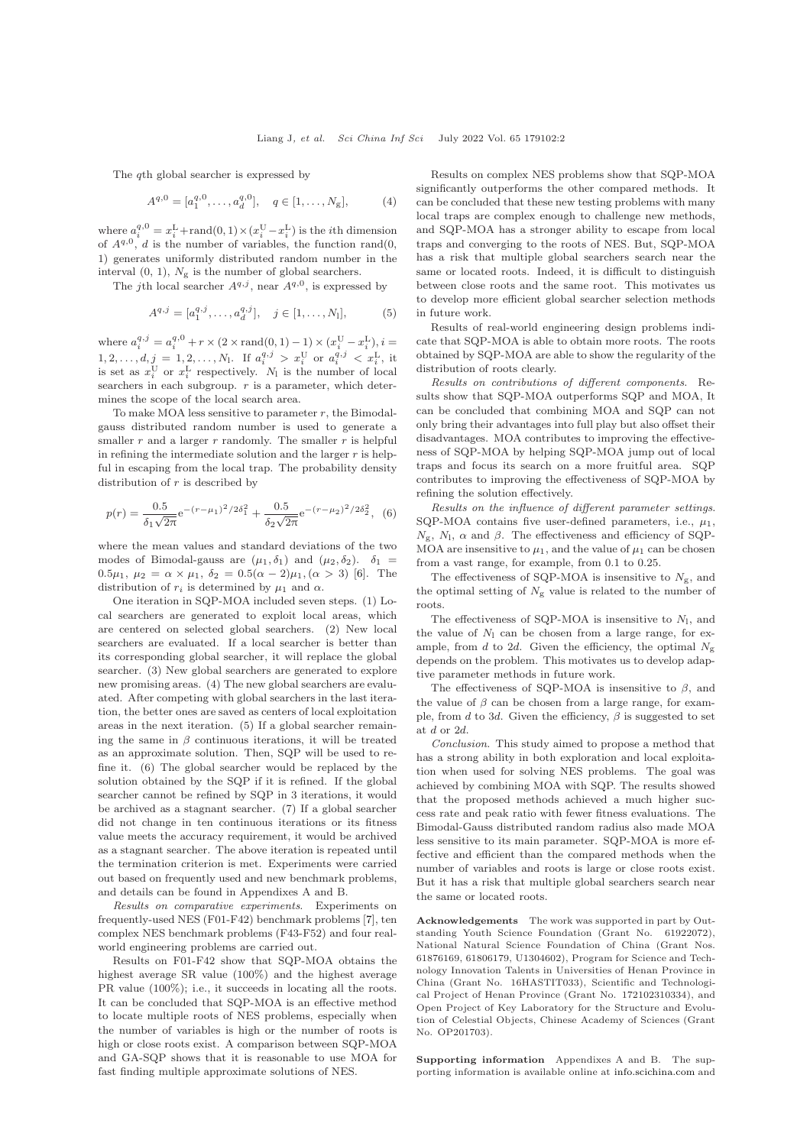The qth global searcher is expressed by

$$
A^{q,0} = [a_1^{q,0}, \dots, a_d^{q,0}], \quad q \in [1, \dots, N_g], \tag{4}
$$

where  $a_i^{q,0} = x_i^L + \text{rand}(0, 1) \times (x_i^U - x_i^L)$  is the *i*th dimension of  $A^{q,0}$ , d is the number of variables, the function rand(0, 1) generates uniformly distributed random number in the interval  $(0, 1)$ ,  $N_g$  is the number of global searchers.

The jth local searcher  $A^{q,j}$ , near  $A^{q,0}$ , is expressed by

$$
A^{q,j} = [a_1^{q,j}, \dots, a_d^{q,j}], \quad j \in [1, \dots, N_1], \tag{5}
$$

where  $a_i^{q,j} = a_i^{q,0} + r \times (2 \times \text{rand}(0,1) - 1) \times (x_i^{\text{U}} - x_i^{\text{L}}), i =$  $1, 2, \ldots, d, \underline{j} = 1, 2, \ldots, N_1$ . If  $a_i^{q,j} > x_i^U$  or  $a_i^{q,j} < x_i^L$ , it is set as  $x_i^{\text{U}}$  or  $x_i^{\text{L}}$  respectively.  $N_1$  is the number of local searchers in each subgroup.  $r$  is a parameter, which determines the scope of the local search area.

To make MOA less sensitive to parameter  $r$ , the Bimodalgauss distributed random number is used to generate a smaller  $r$  and a larger  $r$  randomly. The smaller  $r$  is helpful in refining the intermediate solution and the larger  $r$  is helpful in escaping from the local trap. The probability density distribution of  $r$  is described by

$$
p(r) = \frac{0.5}{\delta_1 \sqrt{2\pi}} e^{-(r-\mu_1)^2/2\delta_1^2} + \frac{0.5}{\delta_2 \sqrt{2\pi}} e^{-(r-\mu_2)^2/2\delta_2^2},
$$
 (6)

where the mean values and standard deviations of the two modes of Bimodal-gauss are  $(\mu_1, \delta_1)$  and  $(\mu_2, \delta_2)$ .  $\delta_1$ 0.5 $\mu_1, \mu_2 = \alpha \times \mu_1, \delta_2 = 0.5(\alpha - 2)\mu_1, (\alpha > 3)$  [\[6\]](#page-2-6). The distribution of  $r_i$  is determined by  $\mu_1$  and  $\alpha$ .

One iteration in SQP-MOA included seven steps. (1) Local searchers are generated to exploit local areas, which are centered on selected global searchers. (2) New local searchers are evaluated. If a local searcher is better than its corresponding global searcher, it will replace the global searcher. (3) New global searchers are generated to explore new promising areas. (4) The new global searchers are evaluated. After competing with global searchers in the last iteration, the better ones are saved as centers of local exploitation areas in the next iteration. (5) If a global searcher remaining the same in  $\beta$  continuous iterations, it will be treated as an approximate solution. Then, SQP will be used to refine it. (6) The global searcher would be replaced by the solution obtained by the SQP if it is refined. If the global searcher cannot be refined by SQP in 3 iterations, it would be archived as a stagnant searcher. (7) If a global searcher did not change in ten continuous iterations or its fitness value meets the accuracy requirement, it would be archived as a stagnant searcher. The above iteration is repeated until the termination criterion is met. Experiments were carried out based on frequently used and new benchmark problems, and details can be found in Appendixes A and B.

Results on comparative experiments. Experiments on frequently-used NES (F01-F42) benchmark problems [\[7\]](#page-2-7), ten complex NES benchmark problems (F43-F52) and four realworld engineering problems are carried out.

Results on F01-F42 show that SQP-MOA obtains the highest average SR value (100%) and the highest average PR value  $(100\%)$ ; i.e., it succeeds in locating all the roots. It can be concluded that SQP-MOA is an effective method to locate multiple roots of NES problems, especially when the number of variables is high or the number of roots is high or close roots exist. A comparison between SQP-MOA and GA-SQP shows that it is reasonable to use MOA for fast finding multiple approximate solutions of NES.

Results on complex NES problems show that SQP-MOA significantly outperforms the other compared methods. It can be concluded that these new testing problems with many local traps are complex enough to challenge new methods, and SQP-MOA has a stronger ability to escape from local traps and converging to the roots of NES. But, SQP-MOA has a risk that multiple global searchers search near the same or located roots. Indeed, it is difficult to distinguish between close roots and the same root. This motivates us to develop more efficient global searcher selection methods in future work.

Results of real-world engineering design problems indicate that SQP-MOA is able to obtain more roots. The roots obtained by SQP-MOA are able to show the regularity of the distribution of roots clearly.

Results on contributions of different components. Results show that SQP-MOA outperforms SQP and MOA, It can be concluded that combining MOA and SQP can not only bring their advantages into full play but also offset their disadvantages. MOA contributes to improving the effectiveness of SQP-MOA by helping SQP-MOA jump out of local traps and focus its search on a more fruitful area. SQP contributes to improving the effectiveness of SQP-MOA by refining the solution effectively.

Results on the influence of different parameter settings. SQP-MOA contains five user-defined parameters, i.e.,  $\mu_1,$  $N_{\rm g}$ ,  $N_{\rm l}$ ,  $\alpha$  and  $\beta$ . The effectiveness and efficiency of SQP-MOA are insensitive to  $\mu_1$ , and the value of  $\mu_1$  can be chosen from a vast range, for example, from 0.1 to 0.25.

The effectiveness of SQP-MOA is insensitive to  $N_{\rm g}$ , and the optimal setting of  $N_{\rm g}$  value is related to the number of roots.

The effectiveness of SQP-MOA is insensitive to  $N_1$ , and the value of  $N_1$  can be chosen from a large range, for example, from d to 2d. Given the efficiency, the optimal  $N_g$ depends on the problem. This motivates us to develop adaptive parameter methods in future work.

The effectiveness of SQP-MOA is insensitive to  $\beta$ , and the value of  $\beta$  can be chosen from a large range, for example, from d to 3d. Given the efficiency,  $\beta$  is suggested to set at d or 2d.

Conclusion. This study aimed to propose a method that has a strong ability in both exploration and local exploitation when used for solving NES problems. The goal was achieved by combining MOA with SQP. The results showed that the proposed methods achieved a much higher success rate and peak ratio with fewer fitness evaluations. The Bimodal-Gauss distributed random radius also made MOA less sensitive to its main parameter. SQP-MOA is more effective and efficient than the compared methods when the number of variables and roots is large or close roots exist. But it has a risk that multiple global searchers search near the same or located roots.

Acknowledgements The work was supported in part by Outstanding Youth Science Foundation (Grant No. 61922072), National Natural Science Foundation of China (Grant Nos. 61876169, 61806179, U1304602), Program for Science and Technology Innovation Talents in Universities of Henan Province in China (Grant No. 16HASTIT033), Scientific and Technological Project of Henan Province (Grant No. 172102310334), and Open Project of Key Laboratory for the Structure and Evolution of Celestial Objects, Chinese Academy of Sciences (Grant No. OP201703).

Supporting information Appendixes A and B. The supporting information is available online at <info.scichina.com> and